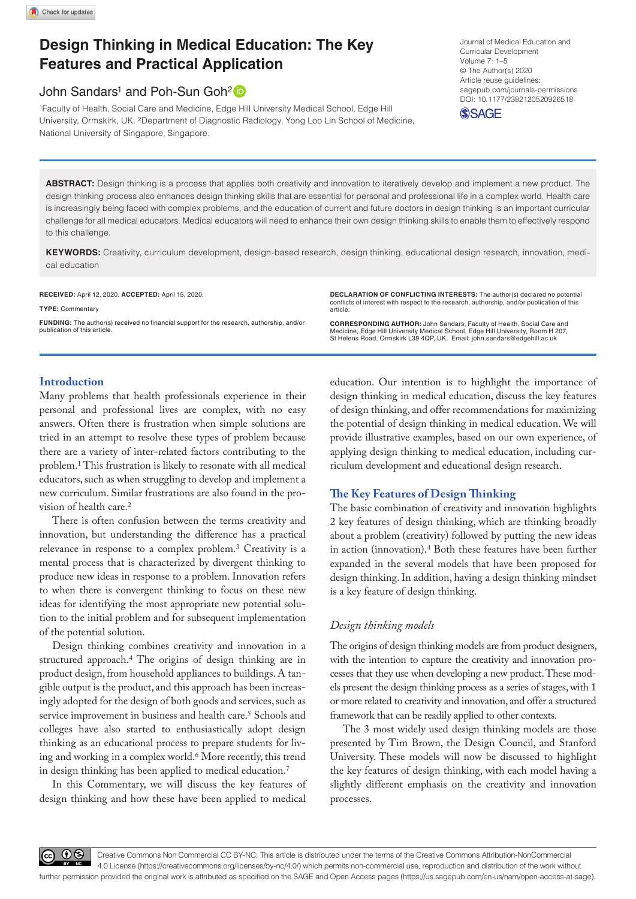# **Design Thinking in Medical Education: The Key Features and Practical Application**

## John Sandars<sup>1</sup> and Poh-Sun Goh<sup>2</sup>

1Faculty of Health, Social Care and Medicine, Edge Hill University Medical School, Edge Hill University, Ormskirk, UK. 2Department of Diagnostic Radiology, Yong Loo Lin School of Medicine, National University of Singapore, Singapore.

DOI: 10.1177/2382120520926518 Journal of Medical Education and Curricular Development Volume 7: 1–5 © The Author(s) 2020 Article reuse guidelines: [sagepub.com/journals-permissions](https://uk.sagepub.com/en-gb/journals-permissions)



**ABSTRACT:** Design thinking is a process that applies both creativity and innovation to iteratively develop and implement a new product. The design thinking process also enhances design thinking skills that are essential for personal and professional life in a complex world. Health care is increasingly being faced with complex problems, and the education of current and future doctors in design thinking is an important curricular challenge for all medical educators. Medical educators will need to enhance their own design thinking skills to enable them to effectively respond to this challenge.

**Keywords:** Creativity, curriculum development, design-based research, design thinking, educational design research, innovation, medical education

**RECEIVED:** April 12, 2020. **ACCEPTED:** April 15, 2020.

**Type:** Commentary **Funding:** The author(s) received no financial support for the research, authorship, and/or **DECLARATION OF CONFLICTING INTERESTS:** The author(s) declared no potential conflicts of interest with respect to the research, authorship, and/or publication of this article.

**CORRESPONDING AUTHOR:** John Sandars, Faculty of Health, Social Care and Medicine, Edge Hill University Medical School, Edge Hill University, Room H 207, St Helens Road, Ormskirk L39 4QP, UK. Email: [john.sandars@edgehill.ac.uk](mailto:john.sandars@edgehill.ac.uk)

## **Introduction**

publication of this article.

Many problems that health professionals experience in their personal and professional lives are complex, with no easy answers. Often there is frustration when simple solutions are tried in an attempt to resolve these types of problem because there are a variety of inter-related factors contributing to the problem.1 This frustration is likely to resonate with all medical educators, such as when struggling to develop and implement a new curriculum. Similar frustrations are also found in the provision of health care.2

There is often confusion between the terms creativity and innovation, but understanding the difference has a practical relevance in response to a complex problem.3 Creativity is a mental process that is characterized by divergent thinking to produce new ideas in response to a problem. Innovation refers to when there is convergent thinking to focus on these new ideas for identifying the most appropriate new potential solution to the initial problem and for subsequent implementation of the potential solution.

Design thinking combines creativity and innovation in a structured approach.4 The origins of design thinking are in product design, from household appliances to buildings. A tangible output is the product, and this approach has been increasingly adopted for the design of both goods and services, such as service improvement in business and health care.<sup>5</sup> Schools and colleges have also started to enthusiastically adopt design thinking as an educational process to prepare students for living and working in a complex world.<sup>6</sup> More recently, this trend in design thinking has been applied to medical education.7

In this Commentary, we will discuss the key features of design thinking and how these have been applied to medical

education. Our intention is to highlight the importance of design thinking in medical education, discuss the key features of design thinking, and offer recommendations for maximizing the potential of design thinking in medical education. We will provide illustrative examples, based on our own experience, of applying design thinking to medical education, including curriculum development and educational design research.

## **The Key Features of Design Thinking**

The basic combination of creativity and innovation highlights 2 key features of design thinking, which are thinking broadly about a problem (creativity) followed by putting the new ideas in action (innovation).4 Both these features have been further expanded in the several models that have been proposed for design thinking. In addition, having a design thinking mindset is a key feature of design thinking.

## *Design thinking models*

The origins of design thinking models are from product designers, with the intention to capture the creativity and innovation processes that they use when developing a new product. These models present the design thinking process as a series of stages, with 1 or more related to creativity and innovation, and offer a structured framework that can be readily applied to other contexts.

The 3 most widely used design thinking models are those presented by Tim Brown, the Design Council, and Stanford University. These models will now be discussed to highlight the key features of design thinking, with each model having a slightly different emphasis on the creativity and innovation processes.

60 Q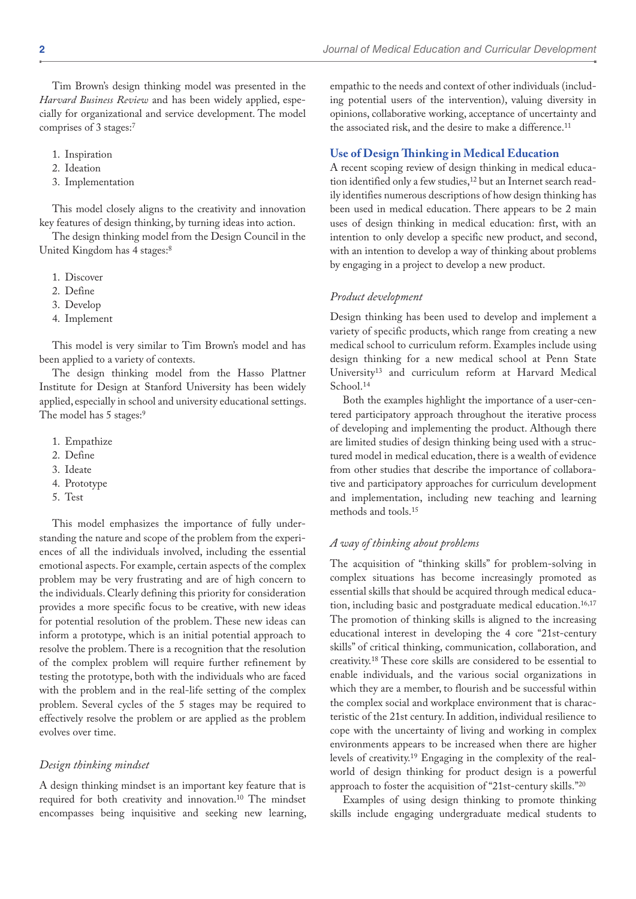Tim Brown's design thinking model was presented in the *Harvard Business Review* and has been widely applied, especially for organizational and service development. The model comprises of 3 stages:7

- 1. Inspiration
- 2. Ideation
- 3. Implementation

This model closely aligns to the creativity and innovation key features of design thinking, by turning ideas into action.

The design thinking model from the Design Council in the United Kingdom has 4 stages:8

- 1. Discover
- 2. Define
- 3. Develop
- 4. Implement

This model is very similar to Tim Brown's model and has been applied to a variety of contexts.

The design thinking model from the Hasso Plattner Institute for Design at Stanford University has been widely applied, especially in school and university educational settings. The model has 5 stages:<sup>9</sup>

- 1. Empathize
- 2. Define
- 3. Ideate
- 4. Prototype
- 5. Test

This model emphasizes the importance of fully understanding the nature and scope of the problem from the experiences of all the individuals involved, including the essential emotional aspects. For example, certain aspects of the complex problem may be very frustrating and are of high concern to the individuals. Clearly defining this priority for consideration provides a more specific focus to be creative, with new ideas for potential resolution of the problem. These new ideas can inform a prototype, which is an initial potential approach to resolve the problem. There is a recognition that the resolution of the complex problem will require further refinement by testing the prototype, both with the individuals who are faced with the problem and in the real-life setting of the complex problem. Several cycles of the 5 stages may be required to effectively resolve the problem or are applied as the problem evolves over time.

## *Design thinking mindset*

A design thinking mindset is an important key feature that is required for both creativity and innovation.10 The mindset encompasses being inquisitive and seeking new learning, empathic to the needs and context of other individuals (including potential users of the intervention), valuing diversity in opinions, collaborative working, acceptance of uncertainty and the associated risk, and the desire to make a difference.<sup>11</sup>

## **Use of Design Thinking in Medical Education**

A recent scoping review of design thinking in medical education identified only a few studies,<sup>12</sup> but an Internet search readily identifies numerous descriptions of how design thinking has been used in medical education. There appears to be 2 main uses of design thinking in medical education: first, with an intention to only develop a specific new product, and second, with an intention to develop a way of thinking about problems by engaging in a project to develop a new product.

#### *Product development*

Design thinking has been used to develop and implement a variety of specific products, which range from creating a new medical school to curriculum reform. Examples include using design thinking for a new medical school at Penn State University13 and curriculum reform at Harvard Medical School.14

Both the examples highlight the importance of a user-centered participatory approach throughout the iterative process of developing and implementing the product. Although there are limited studies of design thinking being used with a structured model in medical education, there is a wealth of evidence from other studies that describe the importance of collaborative and participatory approaches for curriculum development and implementation, including new teaching and learning methods and tools.15

## *A way of thinking about problems*

The acquisition of "thinking skills" for problem-solving in complex situations has become increasingly promoted as essential skills that should be acquired through medical education, including basic and postgraduate medical education.<sup>16,17</sup> The promotion of thinking skills is aligned to the increasing educational interest in developing the 4 core "21st-century skills" of critical thinking, communication, collaboration, and creativity.18 These core skills are considered to be essential to enable individuals, and the various social organizations in which they are a member, to flourish and be successful within the complex social and workplace environment that is characteristic of the 21st century. In addition, individual resilience to cope with the uncertainty of living and working in complex environments appears to be increased when there are higher levels of creativity.19 Engaging in the complexity of the realworld of design thinking for product design is a powerful approach to foster the acquisition of "21st-century skills."20

Examples of using design thinking to promote thinking skills include engaging undergraduate medical students to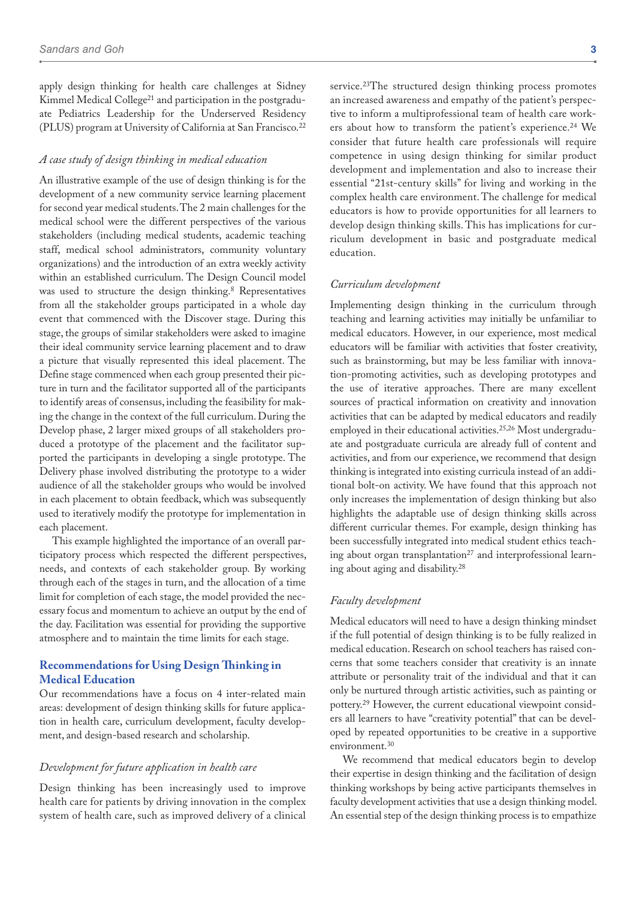apply design thinking for health care challenges at Sidney Kimmel Medical College21 and participation in the postgraduate Pediatrics Leadership for the Underserved Residency (PLUS) program at University of California at San Francisco.22

#### *A case study of design thinking in medical education*

An illustrative example of the use of design thinking is for the development of a new community service learning placement for second year medical students. The 2 main challenges for the medical school were the different perspectives of the various stakeholders (including medical students, academic teaching staff, medical school administrators, community voluntary organizations) and the introduction of an extra weekly activity within an established curriculum. The Design Council model was used to structure the design thinking.8 Representatives from all the stakeholder groups participated in a whole day event that commenced with the Discover stage. During this stage, the groups of similar stakeholders were asked to imagine their ideal community service learning placement and to draw a picture that visually represented this ideal placement. The Define stage commenced when each group presented their picture in turn and the facilitator supported all of the participants to identify areas of consensus, including the feasibility for making the change in the context of the full curriculum. During the Develop phase, 2 larger mixed groups of all stakeholders produced a prototype of the placement and the facilitator supported the participants in developing a single prototype. The Delivery phase involved distributing the prototype to a wider audience of all the stakeholder groups who would be involved in each placement to obtain feedback, which was subsequently used to iteratively modify the prototype for implementation in each placement.

This example highlighted the importance of an overall participatory process which respected the different perspectives, needs, and contexts of each stakeholder group. By working through each of the stages in turn, and the allocation of a time limit for completion of each stage, the model provided the necessary focus and momentum to achieve an output by the end of the day. Facilitation was essential for providing the supportive atmosphere and to maintain the time limits for each stage.

## **Recommendations for Using Design Thinking in Medical Education**

Our recommendations have a focus on 4 inter-related main areas: development of design thinking skills for future application in health care, curriculum development, faculty development, and design-based research and scholarship.

## *Development for future application in health care*

Design thinking has been increasingly used to improve health care for patients by driving innovation in the complex system of health care, such as improved delivery of a clinical service.<sup>23</sup>The structured design thinking process promotes an increased awareness and empathy of the patient's perspective to inform a multiprofessional team of health care workers about how to transform the patient's experience.<sup>24</sup> We consider that future health care professionals will require competence in using design thinking for similar product development and implementation and also to increase their essential "21st-century skills" for living and working in the complex health care environment. The challenge for medical educators is how to provide opportunities for all learners to develop design thinking skills. This has implications for curriculum development in basic and postgraduate medical education.

### *Curriculum development*

Implementing design thinking in the curriculum through teaching and learning activities may initially be unfamiliar to medical educators. However, in our experience, most medical educators will be familiar with activities that foster creativity, such as brainstorming, but may be less familiar with innovation-promoting activities, such as developing prototypes and the use of iterative approaches. There are many excellent sources of practical information on creativity and innovation activities that can be adapted by medical educators and readily employed in their educational activities.25,26 Most undergraduate and postgraduate curricula are already full of content and activities, and from our experience, we recommend that design thinking is integrated into existing curricula instead of an additional bolt-on activity. We have found that this approach not only increases the implementation of design thinking but also highlights the adaptable use of design thinking skills across different curricular themes. For example, design thinking has been successfully integrated into medical student ethics teaching about organ transplantation<sup>27</sup> and interprofessional learning about aging and disability.28

#### *Faculty development*

Medical educators will need to have a design thinking mindset if the full potential of design thinking is to be fully realized in medical education. Research on school teachers has raised concerns that some teachers consider that creativity is an innate attribute or personality trait of the individual and that it can only be nurtured through artistic activities, such as painting or pottery.29 However, the current educational viewpoint considers all learners to have "creativity potential" that can be developed by repeated opportunities to be creative in a supportive environment.30

We recommend that medical educators begin to develop their expertise in design thinking and the facilitation of design thinking workshops by being active participants themselves in faculty development activities that use a design thinking model. An essential step of the design thinking process is to empathize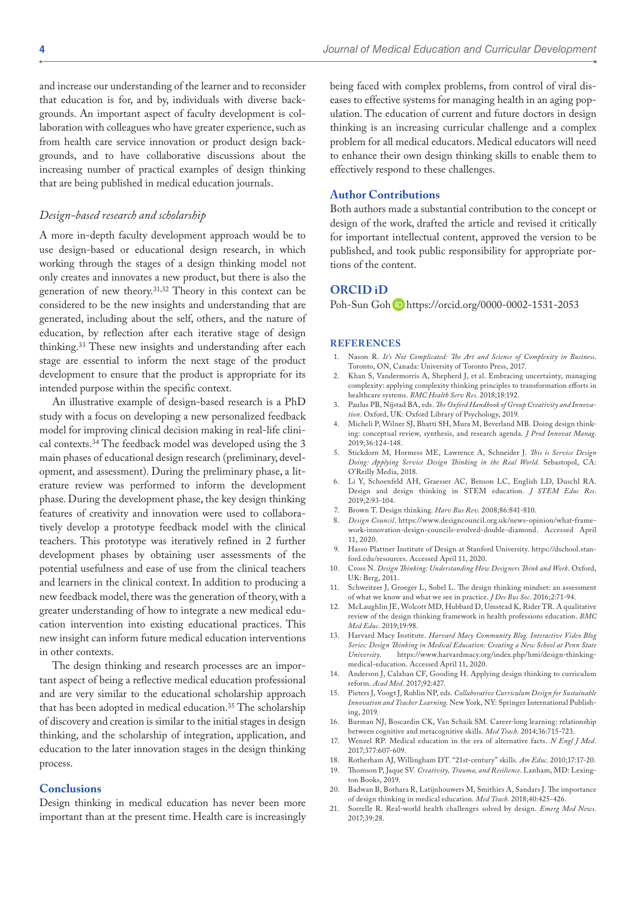and increase our understanding of the learner and to reconsider that education is for, and by, individuals with diverse backgrounds. An important aspect of faculty development is collaboration with colleagues who have greater experience, such as from health care service innovation or product design backgrounds, and to have collaborative discussions about the increasing number of practical examples of design thinking that are being published in medical education journals.

## *Design-based research and scholarship*

A more in-depth faculty development approach would be to use design-based or educational design research, in which working through the stages of a design thinking model not only creates and innovates a new product, but there is also the generation of new theory.31,32 Theory in this context can be considered to be the new insights and understanding that are generated, including about the self, others, and the nature of education, by reflection after each iterative stage of design thinking.33 These new insights and understanding after each stage are essential to inform the next stage of the product development to ensure that the product is appropriate for its intended purpose within the specific context.

An illustrative example of design-based research is a PhD study with a focus on developing a new personalized feedback model for improving clinical decision making in real-life clinical contexts.34 The feedback model was developed using the 3 main phases of educational design research (preliminary, development, and assessment). During the preliminary phase, a literature review was performed to inform the development phase. During the development phase, the key design thinking features of creativity and innovation were used to collaboratively develop a prototype feedback model with the clinical teachers. This prototype was iteratively refined in 2 further development phases by obtaining user assessments of the potential usefulness and ease of use from the clinical teachers and learners in the clinical context. In addition to producing a new feedback model, there was the generation of theory, with a greater understanding of how to integrate a new medical education intervention into existing educational practices. This new insight can inform future medical education interventions in other contexts.

The design thinking and research processes are an important aspect of being a reflective medical education professional and are very similar to the educational scholarship approach that has been adopted in medical education.35 The scholarship of discovery and creation is similar to the initial stages in design thinking, and the scholarship of integration, application, and education to the later innovation stages in the design thinking process.

## **Conclusions**

Design thinking in medical education has never been more important than at the present time. Health care is increasingly being faced with complex problems, from control of viral diseases to effective systems for managing health in an aging population. The education of current and future doctors in design thinking is an increasing curricular challenge and a complex problem for all medical educators. Medical educators will need to enhance their own design thinking skills to enable them to effectively respond to these challenges.

## **Author Contributions**

Both authors made a substantial contribution to the concept or design of the work, drafted the article and revised it critically for important intellectual content, approved the version to be published, and took public responsibility for appropriate portions of the content.

## **ORCID iD**

Poh-Sun Goh <https://orcid.org/0000-0002-1531-2053>

#### **References**

- 1. Nason R. *It's Not Complicated: The Art and Science of Complexity in Business*. Toronto, ON, Canada: University of Toronto Press, 2017.
- 2. Khan S, Vandermorris A, Shepherd J, et al. Embracing uncertainty, managing complexity: applying complexity thinking principles to transformation efforts in healthcare systems. *BMC Health Serv Res*. 2018;18:192.
- 3. Paulus PB, Nijstad BA, eds. *The Oxford Handbook of Group Creativity and Innovation*. Oxford, UK: Oxford Library of Psychology, 2019.
- 4. Micheli P, Wilner SJ, Bhatti SH, Mura M, Beverland MB. Doing design thinking: conceptual review, synthesis, and research agenda. *J Prod Innovat Manag*. 2019;36:124-148.
- 5. Stickdorn M, Hormess ME, Lawrence A, Schneider J. *This is Service Design Doing: Applying Service Design Thinking in the Real World*. Sebastopol, CA: O'Reilly Media, 2018.
- 6. Li Y, Schoenfeld AH, Graesser AC, Benson LC, English LD, Duschl RA. Design and design thinking in STEM education. *J STEM Educ Res*. 2019;2:93-104.
- 7. Brown T. Design thinking. *Harv Bus Rev*. 2008;86:841-810.
- 8. *Design Council*. [https://www.designcouncil.org.uk/news-opinion/what-frame](https://www.designcouncil.org.uk/news-opinion/what-framework-innovation-design-councils-evolved-double-diamond)[work-innovation-design-councils-evolved-double-diamond](https://www.designcouncil.org.uk/news-opinion/what-framework-innovation-design-councils-evolved-double-diamond). Accessed April 11, 2020.
- 9. Hasso Plattner Institute of Design at Stanford University. [https://dschool.stan](https://dschool.stanford.edu/resources)[ford.edu/resources.](https://dschool.stanford.edu/resources) Accessed April 11, 2020.
- 10. Cross N. *Design Thinking: Understanding How Designers Think and Work*. Oxford, UK: Berg, 2011.
- Schweitzer J, Groeger L, Sobel L. The design thinking mindset: an assessment of what we know and what we see in practice. *J Des Bus Soc*. 2016;2:71-94.
- 12. McLaughlin JE, Wolcott MD, Hubbard D, Umstead K, Rider TR. A qualitative review of the design thinking framework in health professions education. *BMC Med Educ*. 2019;19:98.
- 13. Harvard Macy Institute. *Harvard Macy Community Blog. Interactive Video Blog Series: Design Thinking in Medical Education: Creating a New School at Penn State University*. [https://www.harvardmacy.org/index.php/hmi/design-thinking](https://www.harvardmacy.org/index.php/hmi/design-thinking-medical-education)[medical-education](https://www.harvardmacy.org/index.php/hmi/design-thinking-medical-education). Accessed April 11, 2020.
- 14. Anderson J, Calahan CF, Gooding H. Applying design thinking to curriculum reform. *Acad Med*. 2017;92:427.
- 15. Pieters J, Voogt J, Roblin NP, eds. *Collaborative Curriculum Design for Sustainable Innovation and Teacher Learning*. New York, NY: Springer International Publishing, 2019.
- Burman NJ, Boscardin CK, Van Schaik SM. Career-long learning: relationship between cognitive and metacognitive skills. *Med Teach*. 2014;36:715-723.
- 17. Wenzel RP. Medical education in the era of alternative facts. *N Engl J Med*. 2017;377:607-609.
- 18. Rotherham AJ, Willingham DT. "21st-century" skills. *Am Educ*. 2010;17:17-20.
- 19. Thomson P, Jaque SV. *Creativity, Trauma, and Resilience*. Lanham, MD: Lexington Books, 2019.
- 20. Badwan B, Bothara R, Latijnhouwers M, Smithies A, Sandars J. The importance of design thinking in medical education. *Med Teach*. 2018;40:425-426.
- 21. Sorrelle R. Real-world health challenges solved by design. *Emerg Med News*. 2017;39:28.